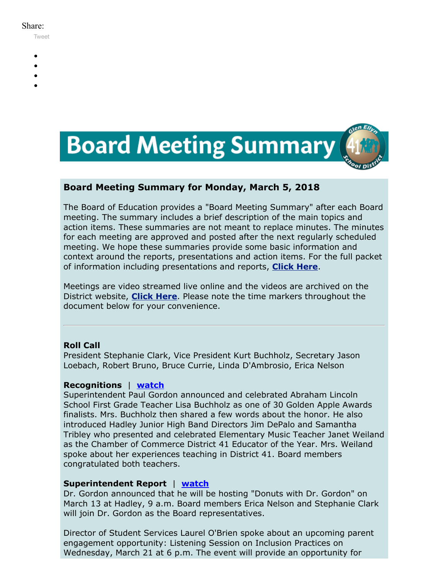#### Share:

[Tweet](https://twitter.com/intent/tweet?original_referer=https%3A%2F%2Fmyemail.constantcontact.com%2FBoard-Meeting-Summary-for-March-5--2018.html%3Fsoid%3D1102200973173%26aid%3DYSCEV97RaaE&ref_src=twsrc%5Etfw&text=Board%20Meeting%20Summary%20for%20March%205%2C%202018&tw_p=tweetbutton&url=https%3A%2F%2Fmyemail.constantcontact.com%2FBoard-Meeting-Summary-for-March-5--2018.html%3Fsoid%3D1102200973173%26aid%3DYSCEV97RaaE)

- 
- 
- 
- 
- 



## **Board Meeting Summary for Monday, March 5, 2018**

The Board of Education provides a "Board Meeting Summary" after each Board meeting. The summary includes a brief description of the main topics and action items. These summaries are not meant to replace minutes. The minutes for each meeting are approved and posted after the next regularly scheduled meeting. We hope these summaries provide some basic information and context around the reports, presentations and action items. For the full packet of information including presentations and reports, **[Click Here](http://www.d41.org/domain/36)**.

Meetings are video streamed live online and the videos are archived on the District website, **[Click Here](http://www.d41.org/domain/463)**. Please note the time markers throughout the document below for your convenience.

## **Roll Call**

President Stephanie Clark, Vice President Kurt Buchholz, Secretary Jason Loebach, Robert Bruno, Bruce Currie, Linda D'Ambrosio, Erica Nelson

## **Recognitions** | **[watch](https://youtu.be/PlYY9JRZ2zo?t=0m34s)**

Superintendent Paul Gordon announced and celebrated Abraham Lincoln School First Grade Teacher Lisa Buchholz as one of 30 Golden Apple Awards finalists. Mrs. Buchholz then shared a few words about the honor. He also introduced Hadley Junior High Band Directors Jim DePalo and Samantha Tribley who presented and celebrated Elementary Music Teacher Janet Weiland as the Chamber of Commerce District 41 Educator of the Year. Mrs. Weiland spoke about her experiences teaching in District 41. Board members congratulated both teachers.

## **Superintendent Report** | **[watch](https://youtu.be/PlYY9JRZ2zo?t=16m10s)**

Dr. Gordon announced that he will be hosting "Donuts with Dr. Gordon" on March 13 at Hadley, 9 a.m. Board members Erica Nelson and Stephanie Clark will join Dr. Gordon as the Board representatives.

Director of Student Services Laurel O'Brien spoke about an upcoming parent engagement opportunity: Listening Session on Inclusion Practices on Wednesday, March 21 at 6 p.m. The event will provide an opportunity for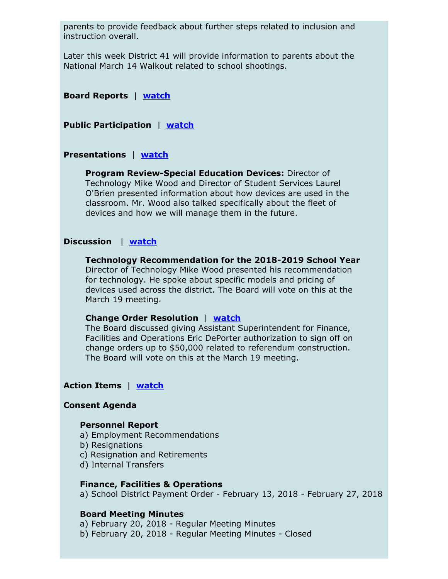parents to provide feedback about further steps related to inclusion and instruction overall.

Later this week District 41 will provide information to parents about the National March 14 Walkout related to school shootings.

**Board Reports** | **[watch](https://youtu.be/PlYY9JRZ2zo?t=21m15s)**

**Public Participation** | **[watch](https://youtu.be/PlYY9JRZ2zo?t=35m40s)**

## **Presentations** | **[watch](https://youtu.be/PlYY9JRZ2zo?t=39m25s)**

**Program Review-Special Education Devices:** Director of Technology Mike Wood and Director of Student Services Laurel O'Brien presented information about how devices are used in the classroom. Mr. Wood also talked specifically about the fleet of devices and how we will manage them in the future.

## **Discussion** | **[watch](https://youtu.be/PlYY9JRZ2zo?t=53m35s)**

**Technology Recommendation for the 2018-2019 School Year** Director of Technology Mike Wood presented his recommendation for technology. He spoke about specific models and pricing of devices used across the district. The Board will vote on this at the March 19 meeting.

## **Change Order Resolution** | **[watch](https://youtu.be/PlYY9JRZ2zo?t=1h02m08s)**

The Board discussed giving Assistant Superintendent for Finance, Facilities and Operations Eric DePorter authorization to sign off on change orders up to \$50,000 related to referendum construction. The Board will vote on this at the March 19 meeting.

## **Action Items** | **[watch](https://youtu.be/PlYY9JRZ2zo?t=1h12m23s)**

## **Consent Agenda**

#### **Personnel Report**

- a) Employment Recommendations
- b) Resignations
- c) Resignation and Retirements
- d) Internal Transfers

#### **Finance, Facilities & Operations**

a) School District Payment Order - February 13, 2018 - February 27, 2018

#### **Board Meeting Minutes**

a) February 20, 2018 - Regular Meeting Minutes

b) February 20, 2018 - Regular Meeting Minutes - Closed